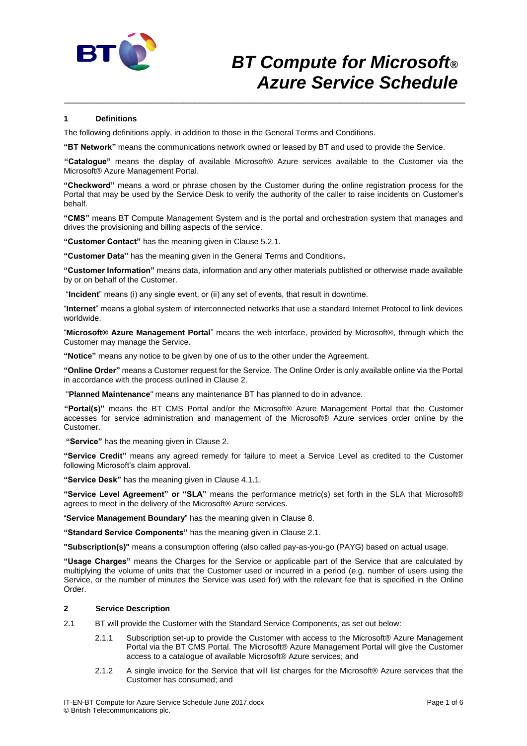

#### **1 Definitions**

The following definitions apply, in addition to those in the General Terms and Conditions.

**"BT Network"** means the communications network owned or leased by BT and used to provide the Service.

**"Catalogue"** means the display of available Microsoft® Azure services available to the Customer via the Microsoft® Azure Management Portal.

\_\_\_\_\_\_\_\_\_\_\_\_\_\_\_\_\_\_\_\_\_\_\_\_\_\_\_\_\_\_\_\_\_\_\_\_\_\_\_\_\_\_\_\_\_\_\_\_\_\_\_\_\_\_\_\_\_\_\_\_\_\_\_\_\_\_\_\_\_\_\_\_\_\_

**"Checkword"** means a word or phrase chosen by the Customer during the online registration process for the Portal that may be used by the Service Desk to verify the authority of the caller to raise incidents on Customer's behalf.

**"CMS"** means BT Compute Management System and is the portal and orchestration system that manages and drives the provisioning and billing aspects of the service.

**"Customer Contact"** has the meaning given in Clause 5.2.1.

**"Customer Data"** has the meaning given in the General Terms and Conditions**.**

**"Customer Information"** means data, information and any other materials published or otherwise made available by or on behalf of the Customer.

"**Incident**" means (i) any single event, or (ii) any set of events, that result in downtime.

"**Internet**" means a global system of interconnected networks that use a standard Internet Protocol to link devices worldwide.

"**Microsoft® Azure Management Portal**" means the web interface, provided by Microsoft®, through which the Customer may manage the Service.

**"Notice"** means any notice to be given by one of us to the other under the Agreement.

**"Online Order"** means a Customer request for the Service. The Online Order is only available online via the Portal in accordance with the process outlined in Clause 2.

"**Planned Maintenance**" means any maintenance BT has planned to do in advance.

**"Portal(s)"** means the BT CMS Portal and/or the Microsoft® Azure Management Portal that the Customer accesses for service administration and management of the Microsoft® Azure services order online by the Customer.

**"Service"** has the meaning given in Clause 2.

**"Service Credit"** means any agreed remedy for failure to meet a Service Level as credited to the Customer following Microsoft's claim approval.

**"Service Desk"** has the meaning given in Clause 4.1.1.

**"Service Level Agreement" or "SLA"** means the performance metric(s) set forth in the SLA that Microsoft® agrees to meet in the delivery of the Microsoft® Azure services.

"**Service Management Boundary**" has the meaning given in Clause 8.

**"Standard Service Components"** has the meaning given in Clause 2.1.

**"Subscription(s)"** means a consumption offering (also called pay-as-you-go (PAYG) based on actual usage.

**"Usage Charges"** means the Charges for the Service or applicable part of the Service that are calculated by multiplying the volume of units that the Customer used or incurred in a period (e.g. number of users using the Service, or the number of minutes the Service was used for) with the relevant fee that is specified in the Online Order.

## **2 Service Description**

- 2.1 BT will provide the Customer with the Standard Service Components, as set out below:
	- 2.1.1 Subscription set-up to provide the Customer with access to the Microsoft® Azure Management Portal via the BT CMS Portal. The Microsoft® Azure Management Portal will give the Customer access to a catalogue of available Microsoft® Azure services; and
	- 2.1.2 A single invoice for the Service that will list charges for the Microsoft® Azure services that the Customer has consumed; and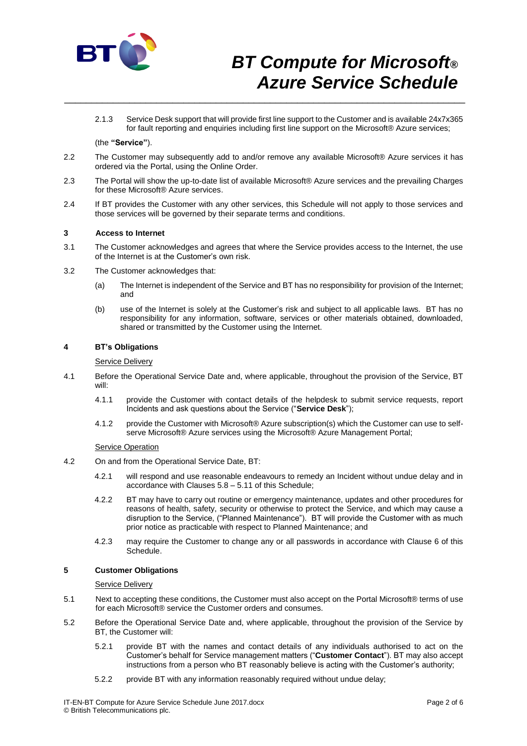

2.1.3 Service Desk support that will provide first line support to the Customer and is available 24x7x365 for fault reporting and enquiries including first line support on the Microsoft® Azure services;

## (the **"Service"**).

2.2 The Customer may subsequently add to and/or remove any available Microsoft® Azure services it has ordered via the Portal, using the Online Order.

\_\_\_\_\_\_\_\_\_\_\_\_\_\_\_\_\_\_\_\_\_\_\_\_\_\_\_\_\_\_\_\_\_\_\_\_\_\_\_\_\_\_\_\_\_\_\_\_\_\_\_\_\_\_\_\_\_\_\_\_\_\_\_\_\_\_\_\_\_\_\_\_\_\_

- 2.3 The Portal will show the up-to-date list of available Microsoft® Azure services and the prevailing Charges for these Microsoft® Azure services.
- 2.4 If BT provides the Customer with any other services, this Schedule will not apply to those services and those services will be governed by their separate terms and conditions.

#### **3 Access to Internet**

- 3.1 The Customer acknowledges and agrees that where the Service provides access to the Internet, the use of the Internet is at the Customer's own risk.
- 3.2 The Customer acknowledges that:
	- (a) The Internet is independent of the Service and BT has no responsibility for provision of the Internet; and
	- (b) use of the Internet is solely at the Customer's risk and subject to all applicable laws. BT has no responsibility for any information, software, services or other materials obtained, downloaded, shared or transmitted by the Customer using the Internet.

## **4 BT's Obligations**

#### **Service Delivery**

- 4.1 Before the Operational Service Date and, where applicable, throughout the provision of the Service, BT will:
	- 4.1.1 provide the Customer with contact details of the helpdesk to submit service requests, report Incidents and ask questions about the Service ("**Service Desk**");
	- 4.1.2 provide the Customer with Microsoft® Azure subscription(s) which the Customer can use to selfserve Microsoft® Azure services using the Microsoft® Azure Management Portal:

#### Service Operation

- 4.2 On and from the Operational Service Date, BT:
	- 4.2.1 will respond and use reasonable endeavours to remedy an Incident without undue delay and in accordance with Clauses 5.8 – 5.11 of this Schedule;
	- 4.2.2 BT may have to carry out routine or emergency maintenance, updates and other procedures for reasons of health, safety, security or otherwise to protect the Service, and which may cause a disruption to the Service, ("Planned Maintenance"). BT will provide the Customer with as much prior notice as practicable with respect to Planned Maintenance; and
	- 4.2.3 may require the Customer to change any or all passwords in accordance with Clause 6 of this Schedule.

#### **5 Customer Obligations**

#### Service Delivery

- 5.1 Next to accepting these conditions, the Customer must also accept on the Portal Microsoft® terms of use for each Microsoft® service the Customer orders and consumes.
- 5.2 Before the Operational Service Date and, where applicable, throughout the provision of the Service by BT, the Customer will:
	- 5.2.1 provide BT with the names and contact details of any individuals authorised to act on the Customer's behalf for Service management matters ("**Customer Contact**"). BT may also accept instructions from a person who BT reasonably believe is acting with the Customer's authority;
	- 5.2.2 provide BT with any information reasonably required without undue delay;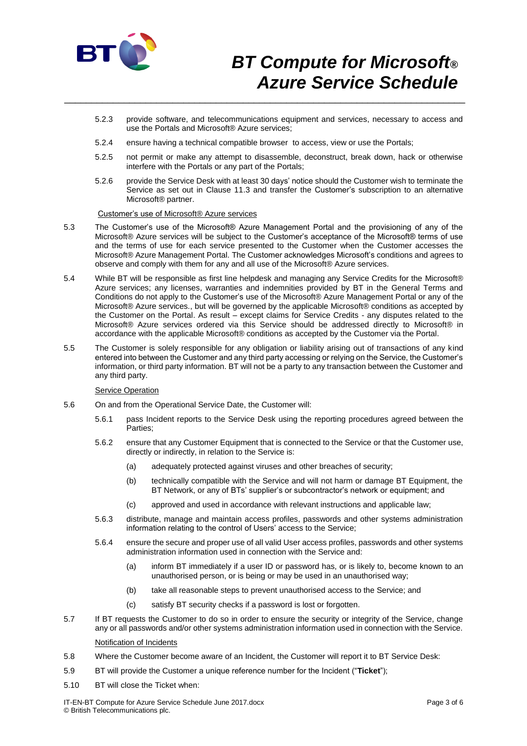

- 5.2.3 provide software, and telecommunications equipment and services, necessary to access and use the Portals and Microsoft® Azure services;
- 5.2.4 ensure having a technical compatible browser to access, view or use the Portals;

\_\_\_\_\_\_\_\_\_\_\_\_\_\_\_\_\_\_\_\_\_\_\_\_\_\_\_\_\_\_\_\_\_\_\_\_\_\_\_\_\_\_\_\_\_\_\_\_\_\_\_\_\_\_\_\_\_\_\_\_\_\_\_\_\_\_\_\_\_\_\_\_\_\_

- 5.2.5 not permit or make any attempt to disassemble, deconstruct, break down, hack or otherwise interfere with the Portals or any part of the Portals;
- 5.2.6 provide the Service Desk with at least 30 days' notice should the Customer wish to terminate the Service as set out in Clause 11.3 and transfer the Customer's subscription to an alternative Microsoft® partner.

## Customer's use of Microsoft® Azure services

- 5.3 The Customer's use of the Microsoft® Azure Management Portal and the provisioning of any of the Microsoft® Azure services will be subject to the Customer's acceptance of the Microsoft® terms of use and the terms of use for each service presented to the Customer when the Customer accesses the Microsoft® Azure Management Portal. The Customer acknowledges Microsoft's conditions and agrees to observe and comply with them for any and all use of the Microsoft® Azure services.
- 5.4 While BT will be responsible as first line helpdesk and managing any Service Credits for the Microsoft® Azure services; any licenses, warranties and indemnities provided by BT in the General Terms and Conditions do not apply to the Customer's use of the Microsoft® Azure Management Portal or any of the Microsoft® Azure services., but will be governed by the applicable Microsoft® conditions as accepted by the Customer on the Portal. As result – except claims for Service Credits - any disputes related to the Microsoft® Azure services ordered via this Service should be addressed directly to Microsoft® in accordance with the applicable Microsoft® conditions as accepted by the Customer via the Portal.
- 5.5 The Customer is solely responsible for any obligation or liability arising out of transactions of any kind entered into between the Customer and any third party accessing or relying on the Service, the Customer's information, or third party information. BT will not be a party to any transaction between the Customer and any third party.

#### **Service Operation**

- 5.6 On and from the Operational Service Date, the Customer will:
	- 5.6.1 pass Incident reports to the Service Desk using the reporting procedures agreed between the Parties;
	- 5.6.2 ensure that any Customer Equipment that is connected to the Service or that the Customer use, directly or indirectly, in relation to the Service is:
		- (a) adequately protected against viruses and other breaches of security;
		- (b) technically compatible with the Service and will not harm or damage BT Equipment, the BT Network, or any of BTs' supplier's or subcontractor's network or equipment; and
		- (c) approved and used in accordance with relevant instructions and applicable law;
	- 5.6.3 distribute, manage and maintain access profiles, passwords and other systems administration information relating to the control of Users' access to the Service;
	- 5.6.4 ensure the secure and proper use of all valid User access profiles, passwords and other systems administration information used in connection with the Service and:
		- (a) inform BT immediately if a user ID or password has, or is likely to, become known to an unauthorised person, or is being or may be used in an unauthorised way;
		- (b) take all reasonable steps to prevent unauthorised access to the Service; and
		- (c) satisfy BT security checks if a password is lost or forgotten.
- 5.7 If BT requests the Customer to do so in order to ensure the security or integrity of the Service, change any or all passwords and/or other systems administration information used in connection with the Service.

## Notification of Incidents

- 5.8 Where the Customer become aware of an Incident, the Customer will report it to BT Service Desk:
- 5.9 BT will provide the Customer a unique reference number for the Incident ("**Ticket**");
- 5.10 BT will close the Ticket when: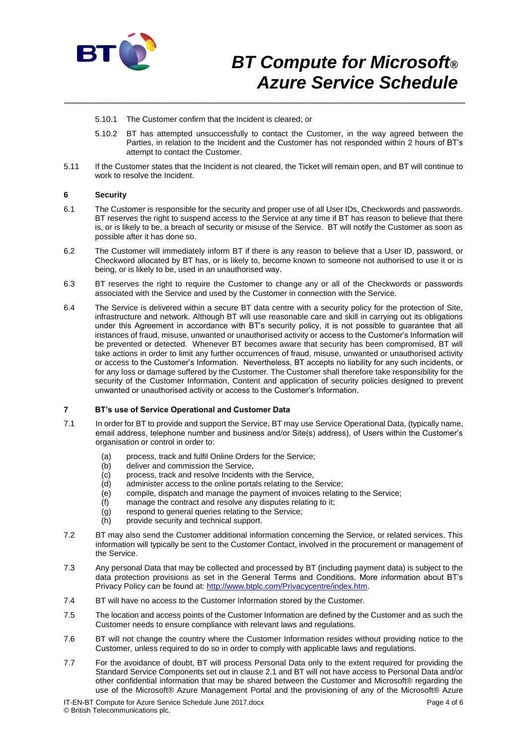

- 5.10.1 The Customer confirm that the Incident is cleared; or
- 5.10.2 BT has attempted unsuccessfully to contact the Customer, in the way agreed between the Parties, in relation to the Incident and the Customer has not responded within 2 hours of BT's attempt to contact the Customer.
- 5.11 If the Customer states that the Incident is not cleared, the Ticket will remain open, and BT will continue to work to resolve the Incident.

\_\_\_\_\_\_\_\_\_\_\_\_\_\_\_\_\_\_\_\_\_\_\_\_\_\_\_\_\_\_\_\_\_\_\_\_\_\_\_\_\_\_\_\_\_\_\_\_\_\_\_\_\_\_\_\_\_\_\_\_\_\_\_\_\_\_\_\_\_\_\_\_\_\_

#### **6 Security**

- 6.1 The Customer is responsible for the security and proper use of all User IDs, Checkwords and passwords. BT reserves the right to suspend access to the Service at any time if BT has reason to believe that there is, or is likely to be, a breach of security or misuse of the Service. BT will notify the Customer as soon as possible after it has done so.
- 6.2 The Customer will immediately inform BT if there is any reason to believe that a User ID, password, or Checkword allocated by BT has, or is likely to, become known to someone not authorised to use it or is being, or is likely to be, used in an unauthorised way.
- 6.3 BT reserves the right to require the Customer to change any or all of the Checkwords or passwords associated with the Service and used by the Customer in connection with the Service.
- 6.4 The Service is delivered within a secure BT data centre with a security policy for the protection of Site, infrastructure and network. Although BT will use reasonable care and skill in carrying out its obligations under this Agreement in accordance with BT's security policy, it is not possible to guarantee that all instances of fraud, misuse, unwanted or unauthorised activity or access to the Customer's Information will be prevented or detected. Whenever BT becomes aware that security has been compromised, BT will take actions in order to limit any further occurrences of fraud, misuse, unwanted or unauthorised activity or access to the Customer's Information. Nevertheless, BT accepts no liability for any such incidents, or for any loss or damage suffered by the Customer. The Customer shall therefore take responsibility for the security of the Customer Information, Content and application of security policies designed to prevent unwanted or unauthorised activity or access to the Customer's Information.

## **7 BT's use of Service Operational and Customer Data**

- 7.1 In order for BT to provide and support the Service, BT may use Service Operational Data, (typically name, email address, telephone number and business and/or Site(s) address), of Users within the Customer's organisation or control in order to:
	- (a) process, track and fulfil Online Orders for the Service;
	- (b) deliver and commission the Service,
	- (c) process, track and resolve Incidents with the Service,
	- (d) administer access to the online portals relating to the Service;
	- (e) compile, dispatch and manage the payment of invoices relating to the Service;
	- (f) manage the contract and resolve any disputes relating to it;
	- (g) respond to general queries relating to the Service;
	- (h) provide security and technical support.
- 7.2 BT may also send the Customer additional information concerning the Service, or related services. This information will typically be sent to the Customer Contact, involved in the procurement or management of the Service.
- 7.3 Any personal Data that may be collected and processed by BT (including payment data) is subject to the data protection provisions as set in the General Terms and Conditions. More information about BT's Privacy Policy can be found at: [http://www.btplc.com/Privacycentre/index.htm.](http://www.btplc.com/Privacycentre/index.htm)
- 7.4 BT will have no access to the Customer Information stored by the Customer.
- 7.5 The location and access points of the Customer Information are defined by the Customer and as such the Customer needs to ensure compliance with relevant laws and regulations.
- 7.6 BT will not change the country where the Customer Information resides without providing notice to the Customer, unless required to do so in order to comply with applicable laws and regulations.
- 7.7 For the avoidance of doubt, BT will process Personal Data only to the extent required for providing the Standard Service Components set out in clause 2.1 and BT will not have access to Personal Data and/or other confidential information that may be shared between the Customer and Microsoft® regarding the use of the Microsoft® Azure Management Portal and the provisioning of any of the Microsoft® Azure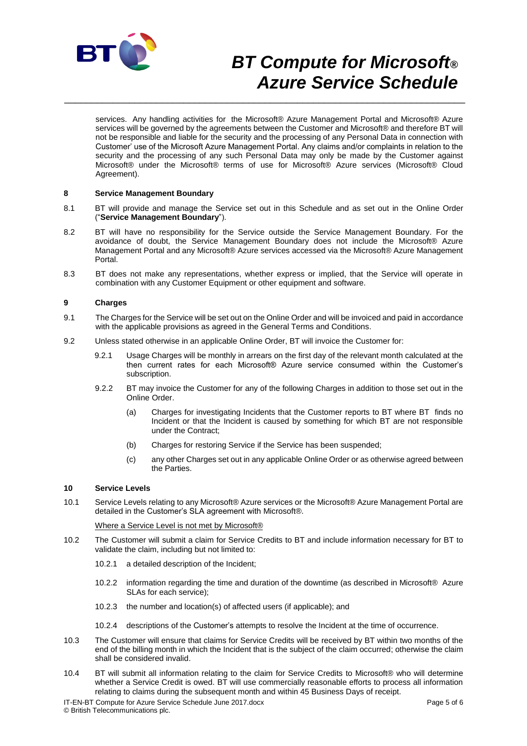

services. Any handling activities for the Microsoft® Azure Management Portal and Microsoft® Azure services will be governed by the agreements between the Customer and Microsoft® and therefore BT will not be responsible and liable for the security and the processing of any Personal Data in connection with Customer' use of the Microsoft Azure Management Portal. Any claims and/or complaints in relation to the security and the processing of any such Personal Data may only be made by the Customer against Microsoft® under the Microsoft® terms of use for Microsoft® Azure services (Microsoft® Cloud Agreement).

## **8 Service Management Boundary**

8.1 BT will provide and manage the Service set out in this Schedule and as set out in the Online Order ("**Service Management Boundary**").

\_\_\_\_\_\_\_\_\_\_\_\_\_\_\_\_\_\_\_\_\_\_\_\_\_\_\_\_\_\_\_\_\_\_\_\_\_\_\_\_\_\_\_\_\_\_\_\_\_\_\_\_\_\_\_\_\_\_\_\_\_\_\_\_\_\_\_\_\_\_\_\_\_\_

- 8.2 BT will have no responsibility for the Service outside the Service Management Boundary. For the avoidance of doubt, the Service Management Boundary does not include the Microsoft® Azure Management Portal and any Microsoft® Azure services accessed via the Microsoft® Azure Management Portal.
- 8.3 BT does not make any representations, whether express or implied, that the Service will operate in combination with any Customer Equipment or other equipment and software.

## **9 Charges**

- 9.1 The Charges for the Service will be set out on the Online Order and will be invoiced and paid in accordance with the applicable provisions as agreed in the General Terms and Conditions.
- 9.2 Unless stated otherwise in an applicable Online Order, BT will invoice the Customer for:
	- 9.2.1 Usage Charges will be monthly in arrears on the first day of the relevant month calculated at the then current rates for each Microsoft® Azure service consumed within the Customer's subscription.
	- 9.2.2 BT may invoice the Customer for any of the following Charges in addition to those set out in the Online Order.
		- (a) Charges for investigating Incidents that the Customer reports to BT where BT finds no Incident or that the Incident is caused by something for which BT are not responsible under the Contract;
		- (b) Charges for restoring Service if the Service has been suspended;
		- (c) any other Charges set out in any applicable Online Order or as otherwise agreed between the Parties.

#### **10 Service Levels**

10.1 Service Levels relating to any Microsoft® Azure services or the Microsoft® Azure Management Portal are detailed in the Customer's SLA agreement with Microsoft®.

#### Where a Service Level is not met by Microsoft®

- 10.2 The Customer will submit a claim for Service Credits to BT and include information necessary for BT to validate the claim, including but not limited to:
	- 10.2.1 a detailed description of the Incident;
	- 10.2.2 information regarding the time and duration of the downtime (as described in Microsoft® Azure SLAs for each service);
	- 10.2.3 the number and location(s) of affected users (if applicable); and
	- 10.2.4 descriptions of the Customer's attempts to resolve the Incident at the time of occurrence.
- 10.3 The Customer will ensure that claims for Service Credits will be received by BT within two months of the end of the billing month in which the Incident that is the subject of the claim occurred; otherwise the claim shall be considered invalid.
- 10.4 BT will submit all information relating to the claim for Service Credits to Microsoft® who will determine whether a Service Credit is owed. BT will use commercially reasonable efforts to process all information relating to claims during the subsequent month and within 45 Business Days of receipt.